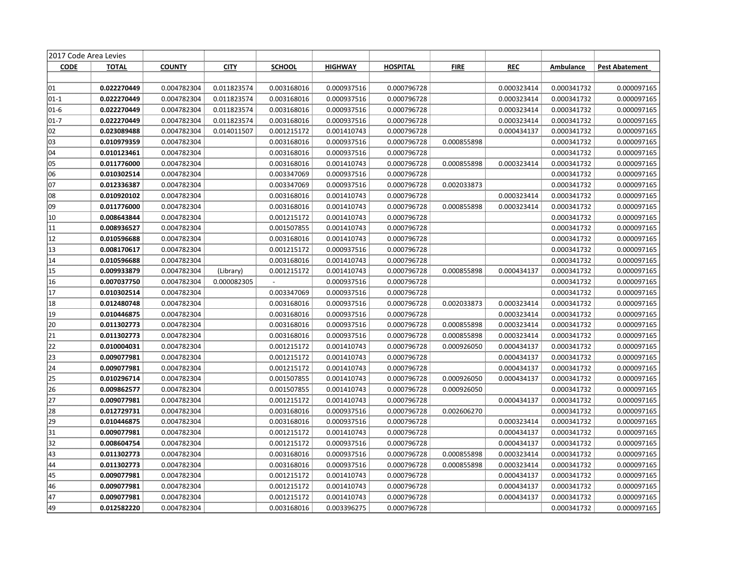| 2017 Code Area Levies |              |               |             |               |                |                 |             |             |             |                       |
|-----------------------|--------------|---------------|-------------|---------------|----------------|-----------------|-------------|-------------|-------------|-----------------------|
| <b>CODE</b>           | <b>TOTAL</b> | <b>COUNTY</b> | <b>CITY</b> | <b>SCHOOL</b> | <b>HIGHWAY</b> | <b>HOSPITAL</b> | <b>FIRE</b> | <b>REC</b>  | Ambulance   | <b>Pest Abatement</b> |
|                       |              |               |             |               |                |                 |             |             |             |                       |
| 01                    | 0.022270449  | 0.004782304   | 0.011823574 | 0.003168016   | 0.000937516    | 0.000796728     |             | 0.000323414 | 0.000341732 | 0.000097165           |
| $01-1$                | 0.022270449  | 0.004782304   | 0.011823574 | 0.003168016   | 0.000937516    | 0.000796728     |             | 0.000323414 | 0.000341732 | 0.000097165           |
| $01 - 6$              | 0.022270449  | 0.004782304   | 0.011823574 | 0.003168016   | 0.000937516    | 0.000796728     |             | 0.000323414 | 0.000341732 | 0.000097165           |
| $01 - 7$              | 0.022270449  | 0.004782304   | 0.011823574 | 0.003168016   | 0.000937516    | 0.000796728     |             | 0.000323414 | 0.000341732 | 0.000097165           |
| 02                    | 0.023089488  | 0.004782304   | 0.014011507 | 0.001215172   | 0.001410743    | 0.000796728     |             | 0.000434137 | 0.000341732 | 0.000097165           |
| 03                    | 0.010979359  | 0.004782304   |             | 0.003168016   | 0.000937516    | 0.000796728     | 0.000855898 |             | 0.000341732 | 0.000097165           |
| 04                    | 0.010123461  | 0.004782304   |             | 0.003168016   | 0.000937516    | 0.000796728     |             |             | 0.000341732 | 0.000097165           |
| 05                    | 0.011776000  | 0.004782304   |             | 0.003168016   | 0.001410743    | 0.000796728     | 0.000855898 | 0.000323414 | 0.000341732 | 0.000097165           |
| 06                    | 0.010302514  | 0.004782304   |             | 0.003347069   | 0.000937516    | 0.000796728     |             |             | 0.000341732 | 0.000097165           |
| 07                    | 0.012336387  | 0.004782304   |             | 0.003347069   | 0.000937516    | 0.000796728     | 0.002033873 |             | 0.000341732 | 0.000097165           |
| 08                    | 0.010920102  | 0.004782304   |             | 0.003168016   | 0.001410743    | 0.000796728     |             | 0.000323414 | 0.000341732 | 0.000097165           |
| 09                    | 0.011776000  | 0.004782304   |             | 0.003168016   | 0.001410743    | 0.000796728     | 0.000855898 | 0.000323414 | 0.000341732 | 0.000097165           |
| 10                    | 0.008643844  | 0.004782304   |             | 0.001215172   | 0.001410743    | 0.000796728     |             |             | 0.000341732 | 0.000097165           |
| 11                    | 0.008936527  | 0.004782304   |             | 0.001507855   | 0.001410743    | 0.000796728     |             |             | 0.000341732 | 0.000097165           |
| 12                    | 0.010596688  | 0.004782304   |             | 0.003168016   | 0.001410743    | 0.000796728     |             |             | 0.000341732 | 0.000097165           |
| 13                    | 0.008170617  | 0.004782304   |             | 0.001215172   | 0.000937516    | 0.000796728     |             |             | 0.000341732 | 0.000097165           |
| 14                    | 0.010596688  | 0.004782304   |             | 0.003168016   | 0.001410743    | 0.000796728     |             |             | 0.000341732 | 0.000097165           |
| 15                    | 0.009933879  | 0.004782304   | (Library)   | 0.001215172   | 0.001410743    | 0.000796728     | 0.000855898 | 0.000434137 | 0.000341732 | 0.000097165           |
| 16                    | 0.007037750  | 0.004782304   | 0.000082305 | $\sim$        | 0.000937516    | 0.000796728     |             |             | 0.000341732 | 0.000097165           |
| 17                    | 0.010302514  | 0.004782304   |             | 0.003347069   | 0.000937516    | 0.000796728     |             |             | 0.000341732 | 0.000097165           |
| 18                    | 0.012480748  | 0.004782304   |             | 0.003168016   | 0.000937516    | 0.000796728     | 0.002033873 | 0.000323414 | 0.000341732 | 0.000097165           |
| 19                    | 0.010446875  | 0.004782304   |             | 0.003168016   | 0.000937516    | 0.000796728     |             | 0.000323414 | 0.000341732 | 0.000097165           |
| 20                    | 0.011302773  | 0.004782304   |             | 0.003168016   | 0.000937516    | 0.000796728     | 0.000855898 | 0.000323414 | 0.000341732 | 0.000097165           |
| 21                    | 0.011302773  | 0.004782304   |             | 0.003168016   | 0.000937516    | 0.000796728     | 0.000855898 | 0.000323414 | 0.000341732 | 0.000097165           |
| 22                    | 0.010004031  | 0.004782304   |             | 0.001215172   | 0.001410743    | 0.000796728     | 0.000926050 | 0.000434137 | 0.000341732 | 0.000097165           |
| 23                    | 0.009077981  | 0.004782304   |             | 0.001215172   | 0.001410743    | 0.000796728     |             | 0.000434137 | 0.000341732 | 0.000097165           |
| 24                    | 0.009077981  | 0.004782304   |             | 0.001215172   | 0.001410743    | 0.000796728     |             | 0.000434137 | 0.000341732 | 0.000097165           |
| 25                    | 0.010296714  | 0.004782304   |             | 0.001507855   | 0.001410743    | 0.000796728     | 0.000926050 | 0.000434137 | 0.000341732 | 0.000097165           |
| 26                    | 0.009862577  | 0.004782304   |             | 0.001507855   | 0.001410743    | 0.000796728     | 0.000926050 |             | 0.000341732 | 0.000097165           |
| 27                    | 0.009077981  | 0.004782304   |             | 0.001215172   | 0.001410743    | 0.000796728     |             | 0.000434137 | 0.000341732 | 0.000097165           |
| 28                    | 0.012729731  | 0.004782304   |             | 0.003168016   | 0.000937516    | 0.000796728     | 0.002606270 |             | 0.000341732 | 0.000097165           |
| 29                    | 0.010446875  | 0.004782304   |             | 0.003168016   | 0.000937516    | 0.000796728     |             | 0.000323414 | 0.000341732 | 0.000097165           |
| 31                    | 0.009077981  | 0.004782304   |             | 0.001215172   | 0.001410743    | 0.000796728     |             | 0.000434137 | 0.000341732 | 0.000097165           |
| 32                    | 0.008604754  | 0.004782304   |             | 0.001215172   | 0.000937516    | 0.000796728     |             | 0.000434137 | 0.000341732 | 0.000097165           |
| 43                    | 0.011302773  | 0.004782304   |             | 0.003168016   | 0.000937516    | 0.000796728     | 0.000855898 | 0.000323414 | 0.000341732 | 0.000097165           |
| 44                    | 0.011302773  | 0.004782304   |             | 0.003168016   | 0.000937516    | 0.000796728     | 0.000855898 | 0.000323414 | 0.000341732 | 0.000097165           |
| 45                    | 0.009077981  | 0.004782304   |             | 0.001215172   | 0.001410743    | 0.000796728     |             | 0.000434137 | 0.000341732 | 0.000097165           |
| 46                    | 0.009077981  | 0.004782304   |             | 0.001215172   | 0.001410743    | 0.000796728     |             | 0.000434137 | 0.000341732 | 0.000097165           |
| 47                    | 0.009077981  | 0.004782304   |             | 0.001215172   | 0.001410743    | 0.000796728     |             | 0.000434137 | 0.000341732 | 0.000097165           |
| 49                    | 0.012582220  | 0.004782304   |             | 0.003168016   | 0.003396275    | 0.000796728     |             |             | 0.000341732 | 0.000097165           |